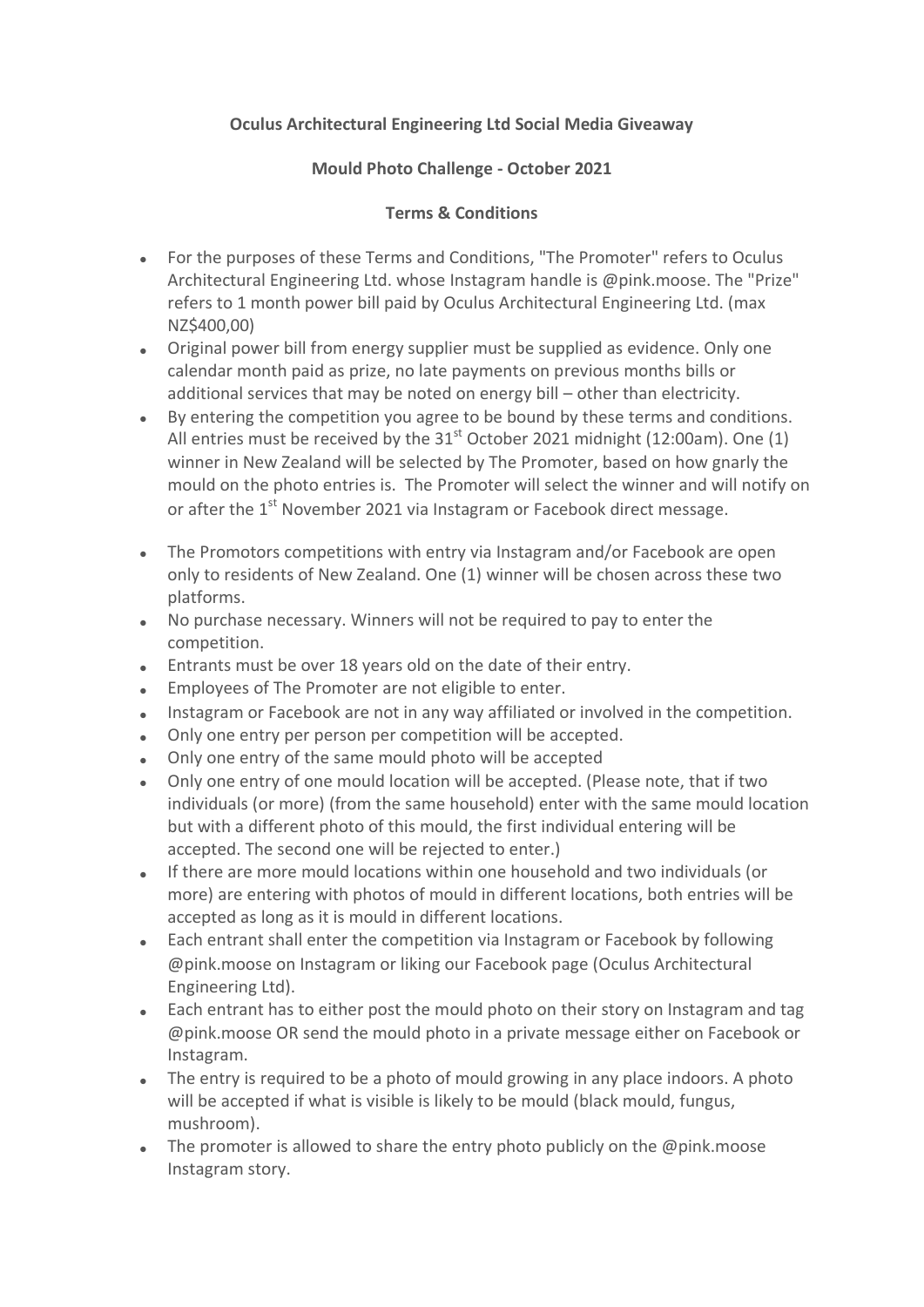## **Oculus Architectural Engineering Ltd Social Media Giveaway**

## **Mould Photo Challenge - October 2021**

## **Terms & Conditions**

- For the purposes of these Terms and Conditions, "The Promoter" refers to Oculus Architectural Engineering Ltd. whose Instagram handle is @pink.moose. The "Prize" refers to 1 month power bill paid by Oculus Architectural Engineering Ltd. (max NZ\$400,00)
- Original power bill from energy supplier must be supplied as evidence. Only one calendar month paid as prize, no late payments on previous months bills or additional services that may be noted on energy bill – other than electricity.
- By entering the competition you agree to be bound by these terms and conditions. All entries must be received by the  $31<sup>st</sup>$  October 2021 midnight (12:00am). One (1) winner in New Zealand will be selected by The Promoter, based on how gnarly the mould on the photo entries is. The Promoter will select the winner and will notify on or after the 1<sup>st</sup> November 2021 via Instagram or Facebook direct message.
- The Promotors competitions with entry via Instagram and/or Facebook are open only to residents of New Zealand. One (1) winner will be chosen across these two platforms.
- No purchase necessary. Winners will not be required to pay to enter the competition.
- Entrants must be over 18 years old on the date of their entry.
- Employees of The Promoter are not eligible to enter.
- Instagram or Facebook are not in any way affiliated or involved in the competition.
- Only one entry per person per competition will be accepted.
- Only one entry of the same mould photo will be accepted
- Only one entry of one mould location will be accepted. (Please note, that if two individuals (or more) (from the same household) enter with the same mould location but with a different photo of this mould, the first individual entering will be accepted. The second one will be rejected to enter.)
- If there are more mould locations within one household and two individuals (or more) are entering with photos of mould in different locations, both entries will be accepted as long as it is mould in different locations.
- Each entrant shall enter the competition via Instagram or Facebook by following @pink.moose on Instagram or liking our Facebook page (Oculus Architectural Engineering Ltd).
- Each entrant has to either post the mould photo on their story on Instagram and tag @pink.moose OR send the mould photo in a private message either on Facebook or Instagram.
- The entry is required to be a photo of mould growing in any place indoors. A photo will be accepted if what is visible is likely to be mould (black mould, fungus, mushroom).
- The promoter is allowed to share the entry photo publicly on the  $\omega$  pink.moose Instagram story.